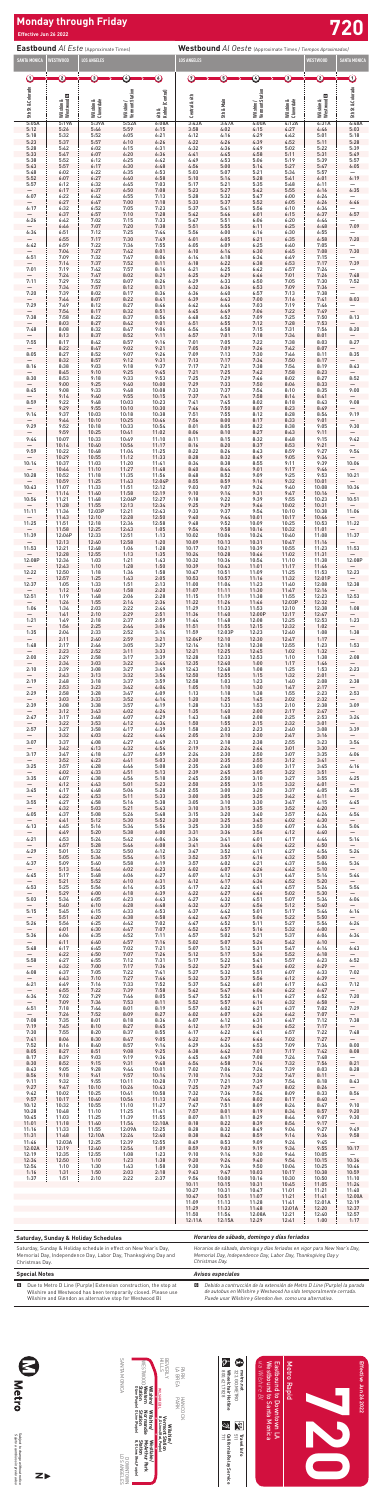**720**



SANTA MONICA SANTA MONICA



DOWNTOWN<br>LOS ANGELES LOS ANGELES DOWNTOWN

WILSHIRE BL WILSHIRE BL

LA BREA

PARK

PARK

HANCOCK

' California Relay Service<br>711



Wilshire/<br>Vermont Station<br>B, D Lines (Red, <sup>Purple)</sup>  **Wilshire/**

WESTWOOD **D Line (Purple) Station Western Wilshire/ D Line (Purple) Normandie**

Subject to change without notice<br>*Sujeto a cambios sin previo aviso* Subject to change without notice *Sujeto a cambios sin previo aviso*



**Station Wilshire/**

**511** Travel Info **Travel Info**

Ì,

**B, D Lines (Red, Purple)** 

**Vermont Station**

**B, D Lines (Red, Purple)**

**Station Westlake/ McArthur Park**

800.621.7828 **Wheelchair Hotline** 323.GO.METRO **metro.net**

**California Relay Service**



**Westbound** *Al Oeste* (Approximate Times / *Tiempos Aproximados)*

| <b>SANTA MONICA</b>                                          | <b>WESTWOOD</b>                 | <b>Eastbound</b> Al Este (Approximate Times)<br><b>LOS ANGELES</b> |                               |                           | <b>LOS ANGELES</b>       |                          | <b>Westbound</b> Al Ueste (Approximate Times / Tiempos Aproximados) |                          | <b>WESTWOOD</b>                 | <b>SANTA MONICA</b>                          |
|--------------------------------------------------------------|---------------------------------|--------------------------------------------------------------------|-------------------------------|---------------------------|--------------------------|--------------------------|---------------------------------------------------------------------|--------------------------|---------------------------------|----------------------------------------------|
|                                                              |                                 |                                                                    |                               |                           |                          |                          |                                                                     |                          |                                 |                                              |
| ⊙                                                            | Ø                               | O                                                                  | G)                            | $\rm O$                   | $\sigma$                 | Ο                        | $\left[ 4 \right]$                                                  | C                        | Ø                               | $\mathbb O$                                  |
| 5th St & Colorado                                            | Wilshire &<br>Westwood <b>©</b> |                                                                    | Wilshire /<br>Vermont Station | 6th &<br>Kohler (Central) | Central & 6th            |                          | Wilshire /<br>Vermont Station                                       |                          | Wilshire &<br>Westwood <b>©</b> | 5th St & Colorado                            |
|                                                              |                                 | Wilshire &<br>Cloverdale                                           |                               |                           |                          | 5th & Main               |                                                                     | Wilshire &<br>Cloverdale |                                 |                                              |
| 5:05A<br>5:12                                                | 5:19A<br>5:26                   | 5:39A<br>5:46                                                      | 5:52A<br>5:59                 | 6:08A<br>6:15             | 3:43A<br>3:58            | 3:47A<br>4:02            | 4:00A<br>4:15                                                       | 4:12A<br>4:27            | 4:31A<br>4:46                   | 4:48A<br>5:03                                |
| 5:18<br>5:23<br>5:28                                         | 5:32<br>5:37<br>5:42            | 5:52<br>5:57<br>6:02                                               | 6:05<br>6:10<br>6:15          | 6:21<br>6:26              | 4:12<br>4:22<br>4:32     | 4:16<br>4:26<br>4:36     | 4:29<br>4:39<br>4:49                                                | 4:42<br>4:52<br>5:02     | 5:01<br>5:11<br>5:22            | 5:18<br>5:28<br>5:39                         |
| 5:33<br>5:38                                                 | 5:47<br>5:52                    | 6:07<br>6:12                                                       | 6:20<br>6:25                  | 6:31<br>6:36<br>6:42      | 4:41<br>4:49             | 4:45<br>4:53             | 4:58<br>5:06                                                        | 5:11<br>5:19             | 5:31<br>5:39                    | 5:49<br>5:57                                 |
| 5:43<br>5:48                                                 | 5:57<br>6:02                    | 6:17<br>6:22                                                       | 6:30<br>6:35                  | 6:48<br>6:53              | 4:56<br>5:03             | 5:00<br>5:07             | 5:14<br>5:21                                                        | 5:27<br>5:34             | 5:47<br>5:57                    | 6:05<br>—                                    |
| 5:52<br>5:57                                                 | 6:07<br>6:12                    | 6:27<br>6:32                                                       | 6:40<br>6:45                  | 6:58<br>7:03              | 5:10<br>5:17             | 5:14<br>5:21             | 5:28<br>5:35                                                        | 5:41<br>5:48             | 6:01<br>6:11                    | 6:19                                         |
| 6:07<br>$\overline{\phantom{0}}$                             | 6:17<br>6:22<br>6:27            | 6:37<br>6:42<br>6:47                                               | 6:50<br>6:55<br>7:00          | 7:08<br>7:13              | 5:23<br>5:28<br>5:33     | 5:27<br>5:32<br>5:37     | 5:42<br>5:47<br>5:52                                                | 5:55<br>6:00<br>6:05     | 6:16<br>6:24                    | 6:35<br>6:46                                 |
| 6:17                                                         | 6:32<br>6:37                    | 6:52<br>6:57                                                       | 7:05<br>7:10                  | 7:18<br>7:23<br>7:28      | 5:37<br>5:42             | 5:41<br>5:46             | 5:56<br>6:01                                                        | 6:10<br>6:15             | 6:26<br>6:34<br>6:37            | 6:57                                         |
| 6:26                                                         | 6:42<br>6:46                    | 7:02<br>7:07                                                       | 7:15<br>7:20                  | 7:33<br>7:38              | 5:47<br>5:51             | 5:51<br>5:55             | 6:06<br>6:11                                                        | 6:20<br>6:25             | 6:44<br>6:48                    | 7:09                                         |
| 6:34                                                         | 6:51<br>6:55                    | 7:12<br>7:17                                                       | 7:25<br>7:30                  | 7:44<br>7:49              | 5:56<br>6:01             | 6:00<br>6:05             | 6:16<br>6:21                                                        | 6:30<br>6:35             | 6:55<br>6:58                    | 7:20                                         |
| 6:42                                                         | 6:59<br>7:04                    | 7:22<br>7:27                                                       | 7:36<br>7:42                  | 7:55<br>8:01              | 6:05<br>6:10             | 6:09<br>6:14             | 6:25<br>6:30                                                        | 6:40<br>6:45             | 7:05<br>7:08                    | 7:30                                         |
| 6:51<br>7:01                                                 | 7:09<br>7:14<br>7:19            | 7:32<br>7:37<br>7:42                                               | 7:47<br>7:52<br>7:57          | 8:06<br>8:11<br>8:16      | 6:14<br>6:18<br>6:21     | 6:18<br>6:22<br>6:25     | 6:34<br>6:38<br>6:42                                                | 6:49<br>6:53<br>6:57     | 7:15<br>7:17<br>7:24            | 7:39                                         |
| $-$<br>7:11                                                  | 7:24<br>7:29                    | 7:47<br>7:52                                                       | 8:02<br>8:07                  | 8:21<br>8:26              | 6:25<br>6:29             | 6:29<br>6:33             | 6:46<br>6:50                                                        | 7:01<br>7:05             | 7:26<br>7:30                    | 7:48<br>7:52                                 |
| 7:20                                                         | 7:34<br>7:39                    | 7:57<br>8:02                                                       | 8:12<br>8:17                  | 8:31<br>8:36              | 6:32<br>6:36             | 6:36<br>6:40             | 6:53<br>6:57                                                        | 7:09<br>7:13             | 7:36<br>7:38                    |                                              |
| 7:29                                                         | 7:44<br>7:49                    | 8:07<br>8:12                                                       | 8:22<br>8:27                  | 8:41<br>8:46              | 6:39<br>6:42             | 6:43<br>6:46             | 7:00<br>7:03                                                        | 7:16<br>7:19             | 7:41<br>7:46                    | 8:03<br>$\equiv$                             |
| $-$<br>7:38                                                  | 7:54<br>7:58<br>8:03            | 8:17<br>8:22<br>8:27                                               | 8:32<br>8:37<br>8:42          | 8:51<br>8:56<br>9:01      | 6:45<br>6:48<br>6:51     | 6:49<br>6:52<br>6:55     | 7:06<br>7:09<br>7:12                                                | 7:22<br>7:25<br>7:28     | 7:49<br>7:50<br>7:53            | 8:13                                         |
| 7:48                                                         | 8:08<br>8:13                    | 8:32<br>8:37                                                       | 8:47<br>8:52                  | 9:06<br>9:11              | 6:54<br>6:57             | 6:58<br>7:01             | 7:15<br>7:18                                                        | 7:31<br>7:34             | 7:56<br>8:01                    | 8:20                                         |
| 7:55<br>$\overline{\phantom{0}}$                             | 8:17<br>8:22                    | 8:42<br>8:47                                                       | 8:57<br>9:02                  | 9:16<br>9:21              | 7:01<br>7:05             | 7:05<br>7:09             | 7:22<br>7:26                                                        | 7:38<br>7:42             | 8:03<br>8:07                    | 8:27                                         |
| 8:05                                                         | 8:27<br>8:32                    | 8:52<br>8:57                                                       | 9:07<br>9:12                  | 9:26<br>9:31              | 7:09<br>7:13             | 7:13<br>7:17             | 7:30<br>7:34                                                        | 7:46<br>7:50             | 8:11<br>8:17                    | 8:35                                         |
| 8:16                                                         | 8:38<br>8:45                    | 9:03<br>9:10                                                       | 9:18<br>9:25                  | 9:37<br>9:45              | 7:17<br>7:21             | 7:21<br>7:25             | 7:38<br>7:42                                                        | 7:54<br>7:58             | 8:19<br>8:23                    | 8:43                                         |
| 8:30<br>8:45                                                 | 8:53<br>9:00<br>9:08            | 9:18<br>9:25<br>9:33                                               | 9:33<br>9:40<br>9:48          | 9:53<br>10:00<br>10:08    | 7:25<br>7:29<br>7:33     | 7:29<br>7:33<br>7:37     | 7:46<br>7:50<br>7:54                                                | 8:02<br>8:06<br>8:10     | 8:27<br>8:33<br>8:35            | 8:52<br>9:00                                 |
| 8:59                                                         | 9:14<br>9:22                    | 9:40<br>9:48                                                       | 9:55<br>10:03                 | 10:15<br>10:23            | 7:37<br>7:41             | 7:41<br>7:45             | 7:58<br>8:02                                                        | 8:14<br>8:18             | 8:41<br>8:43                    | 9:08                                         |
| 9:14                                                         | 9:29<br>9:37                    | 9:55<br>10:03                                                      | 10:10<br>10:18                | 10:30<br>10:38            | 7:46<br>7:51             | 7:50<br>7:55             | 8:07<br>8:12                                                        | 8:23<br>8:28             | 8:49<br>8:54                    | 9:19                                         |
| $\overline{\phantom{0}}$<br>9:29                             | 9:44<br>9:52                    | 10:10<br>10:18                                                     | 10:25<br>10:33                | 10:46<br>10:54            | 7:56<br>8:01             | 8:00<br>8:05             | 8:17<br>8:22                                                        | 8:33<br>8:38             | 9:01<br>9:05                    | 9:30                                         |
| $\overline{\phantom{0}}$<br>9:44                             | 9:59<br>10:07<br>10:14          | 10:25<br>10:33<br>10:40                                            | 10:41<br>10:49<br>10:56       | 11:02<br>11:10<br>11:17   | 8:06<br>8:11<br>8:16     | 8:10<br>8:15<br>8:20     | 8:27<br>8:32<br>8:37                                                | 8:43<br>8:48<br>8:53     | 9:11<br>9:15<br>9:21            | 9:42                                         |
| 9:59<br>$-$                                                  | 10:22<br>10:29                  | 10:48<br>10:55                                                     | 11:04<br>11:12                | 11:25<br>11:33            | 8:22<br>8:28             | 8:26<br>8:32             | 8:43<br>8:49                                                        | 8:59<br>9:05             | 9:27<br>9:34                    | 9:54                                         |
| 10:14                                                        | 10:37<br>10:44                  | 11:03<br>11:10                                                     | 11:20<br>11:27                | 11:41<br>11:48            | 8:34<br>8:40             | 8:38<br>8:44             | 8:55<br>9:01                                                        | 9:11<br>9:17             | 9:39<br>9:46                    | 10:06                                        |
| 10:28<br>10:43                                               | 10:52<br>10:59<br>11:07         | 11:18<br>11:25<br>11:33                                            | 11:35<br>11:43<br>11:51       | 11:56<br>12:04P<br>12:12  | 8:48<br>8:55<br>9:03     | 8:52<br>8:59<br>9:07     | 9:09<br>9:16<br>9:24                                                | 9:25<br>9:32<br>9:40     | 9:53<br>10:01<br>10:08          | 10:21<br>10:36                               |
| 10:56                                                        | 11:14<br>11:21                  | 11:40<br>11:48                                                     | 11:58<br>12:06P               | 12:19<br>12:27            | 9:10<br>9:18             | 9:14<br>9:22             | 9:31<br>9:39                                                        | 9:47<br>9:55             | 10:16<br>10:23                  | 10:51                                        |
| 11:11                                                        | 11:28<br>11:36                  | 11:55<br>12:03P                                                    | 12:13<br>12:21                | 12:34<br>12:43            | 9:25<br>9:33             | 9:29<br>9:37             | 9:46<br>9:54                                                        | 10:02<br>10:10           | 10:31<br>10:38                  | 11:06                                        |
| 11:25                                                        | 11:43<br>11:51                  | 12:10<br>12:18                                                     | 12:28<br>12:36                | 12:50<br>12:58            | 9:40<br>9:48             | 9:44<br>9:52             | 10:01<br>10:09                                                      | 10:17<br>10:25           | 10:46<br>10:53                  | 11:22                                        |
| 11:39                                                        | 11:58<br>12:06P<br>12:13        | 12:25<br>12:33<br>12:40                                            | 12:43<br>12:51<br>12:58       | 1:05<br>1:13<br>1:20      | 9:54<br>10:02<br>10:09   | 9:58<br>10:06<br>10:13   | 10:16<br>10:24<br>10:31                                             | 10:32<br>10:40<br>10:47  | 11:01<br>11:08<br>11:16         | 11:37                                        |
| 11:53                                                        | 12:21<br>12:28                  | 12:48<br>12:55                                                     | 1:06<br>1:13                  | 1:28<br>1:35              | 10:17<br>10:24           | 10:21<br>10:28           | 10:39<br>10:46                                                      | 10:55<br>11:02           | 11:23<br>11:31                  | 11:53                                        |
| 12:08P                                                       | 12:36<br>12:43                  | 1:03<br>1:10                                                       | 1:21<br>1:28                  | 1:43<br>1:50              | 10:32<br>10:39           | 10:36<br>10:43           | 10:54<br>11:01                                                      | 11:10<br>11:17           | 11:38<br>11:46                  | 12:08P                                       |
| 12:22                                                        | 12:50<br>12:57                  | 1:18<br>1:25                                                       | 1:36<br>1:43                  | 1:58<br>2:05              | 10:47<br>10:53           | 10:51<br>10:57           | 11:09<br>11:16                                                      | 11:25<br>11:32           | 11:53<br>12:01P                 | 12:23                                        |
| 12:37<br>12:51                                               | 1:05<br>1:12<br>1:19            | 1:33<br>1:40<br>1:48                                               | 1:51<br>1:58<br>2:06          | 2:13<br>2:20<br>2:28      | 11:00<br>11:07<br>11:15  | 11:04<br>11:11<br>11:19  | 11:23<br>11:30<br>11:38                                             | 11:40<br>11:47<br>11:55  | 12:08<br>12:16<br>12:23         | 12:38<br>12:53                               |
| $\overline{\phantom{0}}$<br>1:06                             | 1:26<br>1:34                    | 1:55<br>2:03                                                       | 2:14<br>2:22                  | 2:36<br>2:44              | 11:22<br>11:29           | 11:26<br>11:33           | 11:46<br>11:53                                                      | 12:03P<br>12:10          | 12:32<br>12:38                  | 1:08                                         |
| $\overline{\phantom{0}}$<br>1:21                             | 1:41<br>1:49                    | 2:10<br>2:18                                                       | 2:29<br>2:37                  | 2:51<br>2:59              | 11:36<br>11:44           | 11:40<br>11:48           | 12:00P<br>12:08                                                     | 12:17<br>12:25           | 12:47<br>12:53                  | 1:23                                         |
| $\overline{\phantom{0}}$<br>1:35<br>$\overline{\phantom{0}}$ | 1:56<br>2:04<br>2:11            | 2:25<br>2:33<br>2:40                                               | 2:44<br>2:52<br>2:59          | 3:06<br>3:14<br>3:21      | 11:51<br>11:59<br>12:04P | 11:55<br>12:03P<br>12:10 | 12:15<br>12:23<br>12:30                                             | 12:32<br>12:40<br>12:47  | 1:02<br>1:08<br>1:17            | 1:38                                         |
| 1:48<br>$\overline{\phantom{0}}$                             | 2:17<br>2:23                    | 2:46<br>2:52                                                       | 3:05<br>3:11                  | 3:27<br>3:33              | 12:14<br>12:21           | 12:18<br>12:25           | 12:38<br>12:45                                                      | 12:55<br>1:02            | 1:23<br>1:32                    | 1:53                                         |
| 2:00                                                         | 2:29<br>2:34                    | 2:58<br>3:03                                                       | 3:17<br>3:22                  | 3:39<br>3:44              | 12:28<br>12:35           | 12:33<br>12:40           | 12:53<br>1:00                                                       | 1:10<br>1:17             | 1:38<br>1:46                    | 2:08                                         |
| 2:10<br>$\overline{\phantom{0}}$                             | 2:39<br>2:43                    | 3:08<br>3:13                                                       | 3:27<br>3:32                  | 3:49<br>3:54              | 12:43<br>12:50           | 12:48<br>12:55           | 1:08<br>1:15                                                        | 1:25<br>1:32             | 1:53<br>2:01                    | 2:23                                         |
| 2:19<br>$\overline{\phantom{0}}$<br>2:29                     | 2:48<br>2:53<br>2:58            | 3:18<br>3:23<br>3:28                                               | 3:37<br>3:42<br>3:47          | 3:59<br>4:04<br>4:09      | 12:58<br>1:05<br>1:13    | 1:03<br>1:10<br>1:18     | 1:23<br>1:30<br>1:38                                                | 1:40<br>1:47<br>1:55     | 2:08<br>2:17<br>2:23            | 2:38<br>2:53                                 |
| 2:39                                                         | 3:03<br>3:08                    | 3:33<br>3:38                                                       | 3:52<br>3:57                  | 4:14<br>4:19              | 1:20<br>1:28             | 1:25<br>1:33             | 1:45<br>1:53                                                        | 2:02<br>2:10             | 2:32<br>2:38                    | 3:09                                         |
| $-$<br>2:47                                                  | 3:12<br>3:17                    | 3:43<br>3:48                                                       | 4:02<br>4:07                  | 4:24<br>4:29              | 1:35<br>1:43             | 1:40<br>1:48             | 2:00<br>2:08                                                        | 2:17<br>2:25             | 2:47<br>2:53                    | 3:24                                         |
| —<br>2:57                                                    | 3:22<br>3:27<br>3:32            | 3:53<br>3:58<br>4:03                                               | 4:12<br>4:17<br>4:22          | 4:34<br>4:39<br>4:44      | 1:50<br>1:58<br>2:05     | 1:55<br>2:03<br>2:10     | 2:15<br>2:23<br>2:30                                                | 2:32<br>2:40<br>2:47     | 3:01<br>3:08                    | 3:39                                         |
| $\overline{\phantom{0}}$<br>3:07<br>$-$                      | 3:37<br>3:42                    | 4:08<br>4:13                                                       | 4:27<br>4:32                  | 4:49<br>4:54              | 2:13<br>2:19             | 2:18<br>2:24             | 2:38<br>2:44                                                        | 2:55<br>3:01             | 3:16<br>3:23<br>3:30            | 3:54                                         |
| 3:17<br>$\overline{\phantom{0}}$                             | 3:47<br>3:52                    | 4:18<br>4:23                                                       | 4:37<br>4:41                  | 4:59<br>5:03              | 2:24<br>2:30             | 2:30<br>2:35             | 2:50<br>2:55                                                        | 3:07<br>3:12             | 3:35<br>3:41                    | 4:06<br>$\frac{-}{4:16}$                     |
| 3:25<br>$\overline{\phantom{0}}$                             | 3:57<br>4:02                    | 4:28<br>4:33                                                       | 4:46<br>4:51                  | 5:08<br>5:13              | 2:35<br>2:39             | 2:40<br>2:45             | 3:00<br>3:05                                                        | 3:17<br>3:22             | 3:45<br>3:51                    | 4:25                                         |
| 3:35<br>$-$<br>3:45                                          | 4:07<br>4:12<br>4:17            | 4:38<br>4:43<br>4:48                                               | 4:56<br>5:01<br>5:06          | 5:18<br>5:23<br>5:28      | 2:45<br>2:50<br>2:55     | 2:50<br>2:55<br>3:00     | 3:10<br>3:15<br>3:20                                                | 3:27<br>3:32<br>3:37     | 3:55<br>4:01<br>4:05            | $\frac{-}{4:35}$                             |
| $-$<br>3:55                                                  | 4:22<br>4:27                    | 4:53<br>4:58                                                       | 5:11<br>5:16                  | 5:33<br>5:38              | 3:00<br>3:05             | 3:05<br>3:10             | 3:25<br>3:30                                                        | 3:42<br>3:47             | 4:11<br>4:15                    | $\frac{-}{4:45}$                             |
| $\overline{\phantom{0}}$<br>4:05                             | 4:32<br>4:37                    | 5:03<br>5:08                                                       | 5:21<br>5:26                  | 5:43<br>5:48              | 3:10<br>3:15             | 3:15<br>3:20             | 3:35<br>$3:40$<br>$3:45$                                            | 3:52<br>3:57             | 4:20<br>4:24                    | 4:54                                         |
| $-$<br>4:13<br>$-$                                           | 4:41<br>4:45<br>4:49            | 5:12<br>5:16<br>5:20                                               | 5:30<br>5:34<br>5:38          | 5:52<br>5:56<br>6:00      | 3:20<br>3:25<br>3:31     | 3:25<br>3:30<br>3:36     | 3:50<br>3:56                                                        | 4:02<br>4:07<br>4:12     | 4:30<br>4:34<br>4:40            | $\frac{-}{5:04}$                             |
| 4:21<br>$\overline{\phantom{0}}$                             | 4:53<br>4:57                    | 5:24<br>5:28                                                       | 5:42<br>5:46                  | 6:04<br>6:08              | 3:36<br>3:41             | 3:41<br>3:46             | 4:01<br>4:06                                                        | 4:17<br>4:22             | 4:44<br>4:50                    | $\frac{-}{5:14}$                             |
| 4:29<br>$-$                                                  | 5:01<br>5:05                    | 5:32<br>5:36                                                       | 5:50<br>5:54                  | 6:12<br>6:15              | 3:47<br>3:52             | 3:52<br>3:57             | 4:11<br>4:16                                                        | 4:27<br>4:32             | 4:54<br>5:00                    | 5:24<br>$\frac{-}{5:34}$                     |
| 4:37<br>$\overline{\phantom{0}}$<br>4:45                     | 5:09<br>5:13<br>5:17            | 5:40<br>5:44<br>5:48                                               | 5:58<br>6:02<br>6:06          | 6:19<br>6:23<br>6:27      | 3:57<br>4:02<br>4:07     | 4:02<br>4:07<br>4:12     | 4:21<br>4:26<br>4:31                                                | 4:37<br>4:42<br>4:47     | 5:04<br>5:10<br>5:14            | $\frac{-}{5:44}$                             |
| $-$<br>4:53                                                  | 5:21<br>5:25                    | 5:52<br>5:56                                                       | 6:10<br>6:14                  | 6:31<br>6:35              | 4:12<br>4:17             | 4:17<br>4:22             | 4:36<br>4:41                                                        | 4:52<br>4:57             | 5:20<br>5:24                    | 5:54                                         |
| $-$<br>5:03                                                  | 5:29<br>5:34                    | 6:00<br>6:05                                                       | 6:18<br>6:23                  | 6:39<br>6:43              | 4:22<br>4:27             | 4:27<br>4:32             | 4:46<br>4:51                                                        | 5:02<br>5:07             | 5:30<br>5:34                    | $\frac{-}{6:04}$                             |
| $-$<br>5:15<br>$\overline{\phantom{0}}$                      | 5:40<br>5:45<br>5:51            | 6:10<br>6:15<br>6:20                                               | 6:28<br>6:33<br>6:38          | 6:48<br>6:53<br>6:58      | 4:32<br>4:37<br>4:42     | 4:37<br>4:42<br>4:47     | 4:56<br>5:01<br>5:06                                                | 5:12<br>5:17<br>5:22     | 5:40<br>5:44<br>5:50            | $\frac{-}{6:14}$                             |
| 5:26<br>$-$                                                  | 5:56<br>6:01                    | 6:25<br>6:30                                                       | 6:42<br>6:47                  | 7:02<br>7:07              | $4:47$<br>$4:52$         | 4:52<br>4:57             | 5:11<br>5:16                                                        | 5:27<br>5:32             | 5:54<br>6:00                    | 6:24                                         |
| 5:36<br>$-$                                                  | 6:06<br>6:11                    | 6:35<br>6:40                                                       | 6:52<br>6:57                  | 7:11<br>7:16              | 4:57<br>5:02             | 5:02<br>5:07             | 5:21<br>5:26                                                        | 5:37<br>5:42             | 6:04<br>6:10                    | $\frac{-}{6:34}$<br>$\frac{-}{6:43}$         |
| 5:48<br>$-$<br>5:58                                          | 6:17<br>6:22<br>6:27            | 6:45<br>6:50<br>6:55                                               | 7:02<br>7:07<br>7:12          | 7:21<br>7:26<br>7:31      | 5:07<br>5:12<br>5:17     | 5:12<br>5:17<br>5:22     | 5:31<br>5:36<br>5:41                                                | 5:47<br>5:52<br>5:57     | 6:14<br>6:18<br>6:23            | 6:52                                         |
| $-$<br>6:08                                                  | 6:32<br>6:37                    | 7:00<br>7:05                                                       | 7:17<br>7:22                  | 7:36<br>7:41              | 5:22<br>5:27             | 5:27<br>5:32             | 5:46<br>5:51                                                        | 6:02<br>6:07             | 6:29<br>6:33                    | $\frac{-}{7:02}$                             |
| $-$<br>6:21                                                  | 6:43<br>6:49                    | 7:10<br>7:16                                                       | 7:27<br>7:33                  | 7:46<br>7:52              | 5:32<br>5:37             | 5:37<br>5:42             | 5:56<br>6:01                                                        | 6:12<br>6:17             | 6:39<br>6:43                    | $\overline{\phantom{0}}$<br>7:12             |
| $\overline{\phantom{0}}$<br>6:34                             | 6:55<br>7:02                    | 7:22<br>7:29                                                       | 7:39<br>7:46                  | 7:58<br>8:05              | 5:42<br>5:47             | 5:47<br>5:52             | 6:06<br>6:11                                                        | 6:22<br>6:27             | 6:47<br>6:52                    | 7:20                                         |
| $-$<br>6:51<br>$-$                                           | 7:09<br>7:18<br>7:26            | 7:36<br>7:44<br>7:52                                               | 7:53<br>8:01<br>8:09          | 8:11<br>8:19<br>8:27      | 5:52<br>5:57<br>6:02     | 5:57<br>6:02<br>6:07     | 6:16<br>6:21<br>6:26                                                | 6:32<br>6:37<br>6:42     | 6:58<br>7:02<br>7:07            | $\frac{-}{7:29}$<br>$\overline{\phantom{0}}$ |
| 7:08<br>7:19                                                 | 7:35<br>7:45                    | 8:01<br>8:10                                                       | 8:18<br>8:27                  | 8:36<br>8:45              | 6:07<br>6:12             | 6:12<br>6:17             | 6:31<br>6:36                                                        | 6:47<br>6:52             | 7:12<br>7:17                    | 7:38                                         |
| 7:30<br>7:41                                                 | 7:55<br>8:06                    | 8:20<br>8:30                                                       | 8:37<br>8:47                  | 8:55<br>9:05              | 6:17<br>6:22             | 6:22<br>6:27             | 6:41<br>6:46                                                        | 6:57<br>7:02             | 7:22<br>7:27                    | 7:48                                         |
| 7:52<br>8:05                                                 | 8:16<br>8:27                    | 8:40<br>8:51                                                       | 8:57<br>9:08                  | 9:14<br>9:25              | 6:29<br>6:38             | 6:34<br>6:42             | 6:53<br>7:01                                                        | 7:09<br>7:17             | 7:34<br>7:42                    | 8:00<br>8:08                                 |
| 8:17<br>8:30<br>8:43                                         | 8:39<br>8:52<br>9:05            | 9:03<br>9:15<br>9:28                                               | 9:19<br>9:31<br>9:44          | 9:36<br>9:48<br>10:01     | 6:45<br>6:54<br>7:02     | 6:49<br>6:58<br>7:06     | 7:08<br>7:16<br>7:24                                                | 7:24<br>7:32<br>7:39     | 7:48<br>7:56<br>8:03            | 8:21<br>8:28                                 |
| 8:56<br>9:11                                                 | 9:18<br>9:32                    | 9:41<br>9:55                                                       | 9:57<br>10:11                 | 10:14<br>10:28            | 7:10<br>7:17             | 7:14<br>7:21             | 7:32<br>7:39                                                        | 7:47<br>7:54             | 8:11<br>8:18                    | 8:43                                         |
| 9:27<br>9:42                                                 | 9:47<br>10:02                   | 10:10<br>10:25                                                     | 10:26<br>10:41                | 10:43<br>10:58            | 7:25<br>7:32             | 7:29<br>7:36             | 7:47<br>7:54                                                        | 8:02<br>8:09             | 8:26<br>8:33                    | $-$<br>8:56                                  |
| 9:57<br>10:12                                                | 10:17<br>10:32                  | 10:40<br>10:55                                                     | 10:56<br>11:10                | 11:13<br>11:27            | 7:40<br>7:47             | 7:44<br>7:51             | 8:02<br>8:09                                                        | 8:17<br>8:24             | 8:40<br>8:47                    | $-$<br>9:10                                  |
| 10:28<br>10:45<br>11:01                                      | 10:48<br>11:03<br>11:18         | 11:10<br>11:25<br>11:40                                            | 11:25<br>11:39<br>11:54       | 11:41<br>11:55<br>12:10A  | 7:57<br>8:07<br>8:18     | 8:01<br>8:11<br>8:22     | 8:19<br>8:29<br>8:39                                                | 8:34<br>8:44<br>8:54     | 8:57<br>9:07<br>9:17            | 9:20<br>9:30<br>$-$                          |
| 11:16<br>11:31                                               | 11:33<br>11:48                  | 11:55<br>12:10A                                                    | 12:09A<br>12:24               | 12:25<br>12:40            | 8:28<br>8:38             | 8:32<br>8:42             | 8:49<br>8:59                                                        | 9:04<br>9:14             | 9:27<br>9:36                    | 9:49<br>9:58                                 |
| 11:46<br>12:02A                                              | 12:03A<br>12:19                 | 12:25<br>12:40                                                     | 12:39<br>12:54                | 12:55<br>1:09             | 8:49<br>8:59             | 8:53<br>9:03             | 9:09<br>9:19                                                        | 9:24<br>9:34             | 9:45<br>9:55                    | 10:17                                        |
| 12:19<br>12:34<br>12:54                                      | 12:35<br>12:50<br>1:10          | 12:55<br>1:10<br>1:30                                              | 1:08<br>1:23<br>1:43          | 1:23<br>1:38<br>1:58      | 9:10<br>9:20<br>9:30     | 9:14<br>9:24<br>9:34     | 9:30<br>9:40<br>9:50                                                | 9:44<br>9:54<br>10:04    | 10:05<br>10:15<br>10:25         | $-$<br>10:36<br>10:46                        |
| 1:16<br>1:37                                                 | 1:31<br>1:51                    | 1:50<br>2:10                                                       | 2:03<br>2:22                  | 2:18<br>2:37              | 9:43<br>9:56             | 9:47<br>10:00            | 10:03<br>10:16                                                      | 10:17<br>10:30           | 10:38<br>10:50                  | 10:59<br>11:10                               |
|                                                              |                                 |                                                                    |                               |                           | 10:11<br>10:27           | 10:15<br>10:31           | 10:31<br>10:47                                                      | 10:45<br>11:01           | 11:05<br>11:21                  | 11:24<br>11:40                               |
|                                                              |                                 |                                                                    |                               |                           | 10:47<br>11:09           | 10:51<br>11:13           | 11:07<br>11:28                                                      | 11:21<br>11:41           | 11:41<br>12:01A                 | 12:00A<br>12:19                              |
|                                                              |                                 |                                                                    |                               |                           | 11:29<br>11:50<br>12:11A | 11:33<br>11:54<br>12:15A | 11:48<br>12:08A<br>12:29                                            | 12:01A<br>12:21<br>12:41 | 12:20<br>12:40<br>1:00          | 12:37<br>12:57<br>1:17                       |

### **Effective Jun 26 2022**

**Extinguind** *Al Este* 

## **Monday through Friday 720**

|   | Saturday, Sunday & Holiday Schedules                                                                                                                  | Horarios de sábado, domingo y días feriados                                                                                                                  |                                                                                                                                             |  |  |  |  |
|---|-------------------------------------------------------------------------------------------------------------------------------------------------------|--------------------------------------------------------------------------------------------------------------------------------------------------------------|---------------------------------------------------------------------------------------------------------------------------------------------|--|--|--|--|
|   | Saturday, Sunday & Holiday schedule in effect on New Year's Day,<br>Memorial Day, Independence Day, Labor Day, Thanksgiving Day and<br>Christmas Day. | Horarios de sábado, domingo y días feriados en vigor para New Year's Day,<br>Memorial Day, Independence Day, Labor Day, Thanksgiving Day y<br>Christmas Dav. |                                                                                                                                             |  |  |  |  |
|   | <b>Special Notes</b>                                                                                                                                  | <b>Avisos especiales</b>                                                                                                                                     |                                                                                                                                             |  |  |  |  |
| G | Due to Metro D Line (Purple) Extension construction, the stop at<br>Wilshire and Westwood has been temporarily closed. Please use                     | G                                                                                                                                                            | Debido a contrucción de la extensión de Metro D Line (Purple) la parada<br>de autobus en Wilshire y Westwood ha sido temporalmente cerrada. |  |  |  |  |

Wilshire and Westwood has been temporarily closed. Please use Wilshire and Glendon as alternative stop for Westwood Bl

*Puede usar Wilshire y Glendon Ave. como una alternativa.*